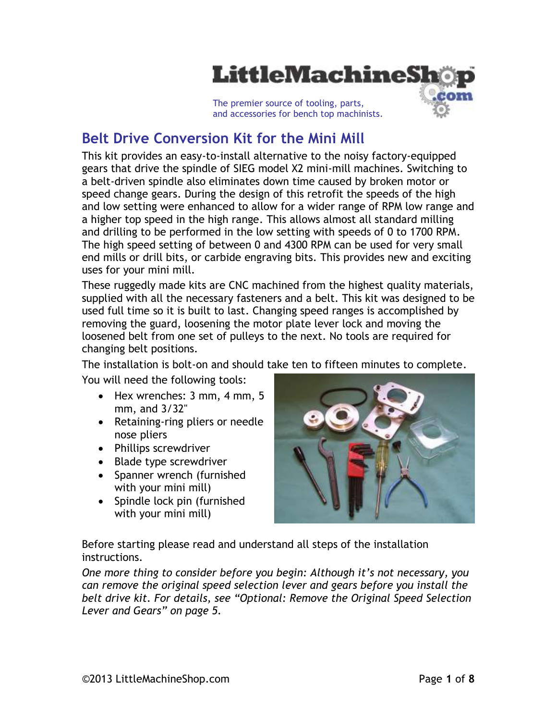

**Belt Drive Conversion Kit for the Mini Mill**

This kit provides an easy-to-install alternative to the noisy factory-equipped gears that drive the spindle of SIEG model X2 mini-mill machines. Switching to a belt-driven spindle also eliminates down time caused by broken motor or speed change gears. During the design of this retrofit the speeds of the high and low setting were enhanced to allow for a wider range of RPM low range and a higher top speed in the high range. This allows almost all standard milling and drilling to be performed in the low setting with speeds of 0 to 1700 RPM. The high speed setting of between 0 and 4300 RPM can be used for very small end mills or drill bits, or carbide engraving bits. This provides new and exciting uses for your mini mill.

These ruggedly made kits are CNC machined from the highest quality materials, supplied with all the necessary fasteners and a belt. This kit was designed to be used full time so it is built to last. Changing speed ranges is accomplished by removing the guard, loosening the motor plate lever lock and moving the loosened belt from one set of pulleys to the next. No tools are required for changing belt positions.

The installation is bolt-on and should take ten to fifteen minutes to complete.

You will need the following tools:

- $\bullet$  Hex wrenches: 3 mm, 4 mm, 5 mm, and 3/32"
- Retaining-ring pliers or needle nose pliers
- Phillips screwdriver
- Blade type screwdriver
- Spanner wrench (furnished with your mini mill)
- Spindle lock pin (furnished with your mini mill)



Before starting please read and understand all steps of the installation instructions.

*One more thing to consider before you begin: Although it's not necessary, you can remove the original speed selection lever and gears before you install the belt drive kit. For details, see "Optional: Remove the Original Speed Selection Lever and Gears" on page 5.*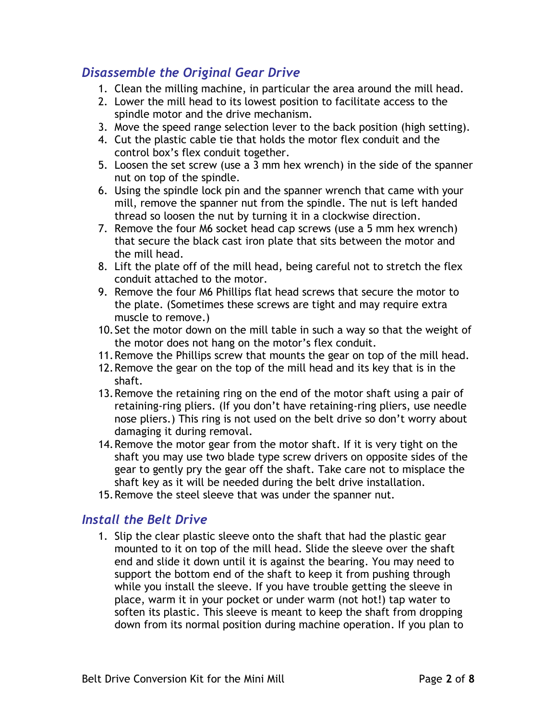## *Disassemble the Original Gear Drive*

- 1. Clean the milling machine, in particular the area around the mill head.
- 2. Lower the mill head to its lowest position to facilitate access to the spindle motor and the drive mechanism.
- 3. Move the speed range selection lever to the back position (high setting).
- 4. Cut the plastic cable tie that holds the motor flex conduit and the control box's flex conduit together.
- 5. Loosen the set screw (use a 3 mm hex wrench) in the side of the spanner nut on top of the spindle.
- 6. Using the spindle lock pin and the spanner wrench that came with your mill, remove the spanner nut from the spindle. The nut is left handed thread so loosen the nut by turning it in a clockwise direction.
- 7. Remove the four M6 socket head cap screws (use a 5 mm hex wrench) that secure the black cast iron plate that sits between the motor and the mill head.
- 8. Lift the plate off of the mill head, being careful not to stretch the flex conduit attached to the motor.
- 9. Remove the four M6 Phillips flat head screws that secure the motor to the plate. (Sometimes these screws are tight and may require extra muscle to remove.)
- 10.Set the motor down on the mill table in such a way so that the weight of the motor does not hang on the motor's flex conduit.
- 11.Remove the Phillips screw that mounts the gear on top of the mill head.
- 12.Remove the gear on the top of the mill head and its key that is in the shaft.
- 13.Remove the retaining ring on the end of the motor shaft using a pair of retaining-ring pliers. (If you don't have retaining-ring pliers, use needle nose pliers.) This ring is not used on the belt drive so don't worry about damaging it during removal.
- 14.Remove the motor gear from the motor shaft. If it is very tight on the shaft you may use two blade type screw drivers on opposite sides of the gear to gently pry the gear off the shaft. Take care not to misplace the shaft key as it will be needed during the belt drive installation.
- 15.Remove the steel sleeve that was under the spanner nut.

## *Install the Belt Drive*

1. Slip the clear plastic sleeve onto the shaft that had the plastic gear mounted to it on top of the mill head. Slide the sleeve over the shaft end and slide it down until it is against the bearing. You may need to support the bottom end of the shaft to keep it from pushing through while you install the sleeve. If you have trouble getting the sleeve in place, warm it in your pocket or under warm (not hot!) tap water to soften its plastic. This sleeve is meant to keep the shaft from dropping down from its normal position during machine operation. If you plan to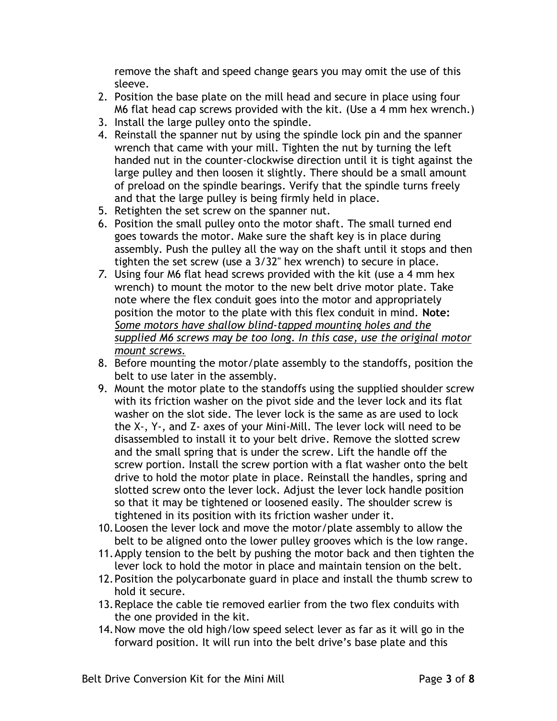remove the shaft and speed change gears you may omit the use of this sleeve.

- 2. Position the base plate on the mill head and secure in place using four M6 flat head cap screws provided with the kit. (Use a 4 mm hex wrench.)
- 3. Install the large pulley onto the spindle.
- 4. Reinstall the spanner nut by using the spindle lock pin and the spanner wrench that came with your mill. Tighten the nut by turning the left handed nut in the counter-clockwise direction until it is tight against the large pulley and then loosen it slightly. There should be a small amount of preload on the spindle bearings. Verify that the spindle turns freely and that the large pulley is being firmly held in place.
- 5. Retighten the set screw on the spanner nut.
- 6. Position the small pulley onto the motor shaft. The small turned end goes towards the motor. Make sure the shaft key is in place during assembly. Push the pulley all the way on the shaft until it stops and then tighten the set screw (use a 3/32" hex wrench) to secure in place.
- *7.* Using four M6 flat head screws provided with the kit (use a 4 mm hex wrench) to mount the motor to the new belt drive motor plate. Take note where the flex conduit goes into the motor and appropriately position the motor to the plate with this flex conduit in mind. **Note:** *Some motors have shallow blind-tapped mounting holes and the supplied M6 screws may be too long. In this case, use the original motor mount screws.*
- 8. Before mounting the motor/plate assembly to the standoffs, position the belt to use later in the assembly.
- 9. Mount the motor plate to the standoffs using the supplied shoulder screw with its friction washer on the pivot side and the lever lock and its flat washer on the slot side. The lever lock is the same as are used to lock the X-, Y-, and Z- axes of your Mini-Mill. The lever lock will need to be disassembled to install it to your belt drive. Remove the slotted screw and the small spring that is under the screw. Lift the handle off the screw portion. Install the screw portion with a flat washer onto the belt drive to hold the motor plate in place. Reinstall the handles, spring and slotted screw onto the lever lock. Adjust the lever lock handle position so that it may be tightened or loosened easily. The shoulder screw is tightened in its position with its friction washer under it.
- 10.Loosen the lever lock and move the motor/plate assembly to allow the belt to be aligned onto the lower pulley grooves which is the low range.
- 11.Apply tension to the belt by pushing the motor back and then tighten the lever lock to hold the motor in place and maintain tension on the belt.
- 12.Position the polycarbonate guard in place and install the thumb screw to hold it secure.
- 13.Replace the cable tie removed earlier from the two flex conduits with the one provided in the kit.
- 14.Now move the old high/low speed select lever as far as it will go in the forward position. It will run into the belt drive's base plate and this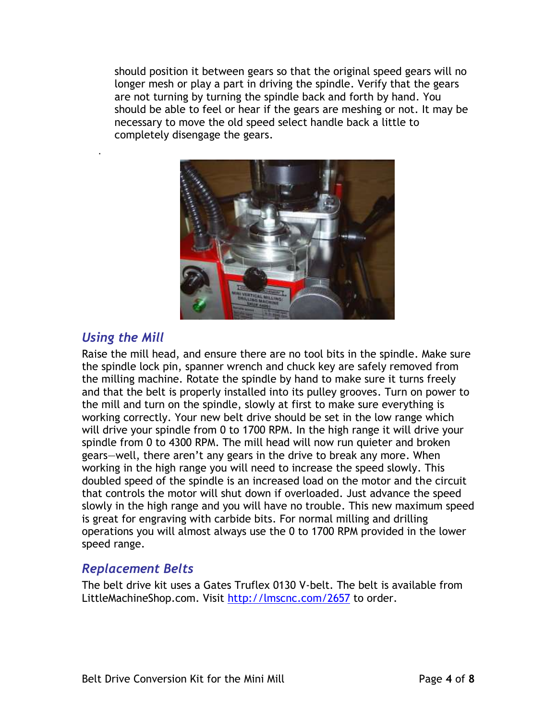should position it between gears so that the original speed gears will no longer mesh or play a part in driving the spindle. Verify that the gears are not turning by turning the spindle back and forth by hand. You should be able to feel or hear if the gears are meshing or not. It may be necessary to move the old speed select handle back a little to completely disengage the gears.



## *Using the Mill*

.

Raise the mill head, and ensure there are no tool bits in the spindle. Make sure the spindle lock pin, spanner wrench and chuck key are safely removed from the milling machine. Rotate the spindle by hand to make sure it turns freely and that the belt is properly installed into its pulley grooves. Turn on power to the mill and turn on the spindle, slowly at first to make sure everything is working correctly. Your new belt drive should be set in the low range which will drive your spindle from 0 to 1700 RPM. In the high range it will drive your spindle from 0 to 4300 RPM. The mill head will now run quieter and broken gears—well, there aren't any gears in the drive to break any more. When working in the high range you will need to increase the speed slowly. This doubled speed of the spindle is an increased load on the motor and the circuit that controls the motor will shut down if overloaded. Just advance the speed slowly in the high range and you will have no trouble. This new maximum speed is great for engraving with carbide bits. For normal milling and drilling operations you will almost always use the 0 to 1700 RPM provided in the lower speed range.

## *Replacement Belts*

The belt drive kit uses a Gates Truflex 0130 V-belt. The belt is available from LittleMachineShop.com. Visit<http://lmscnc.com/2657> to order.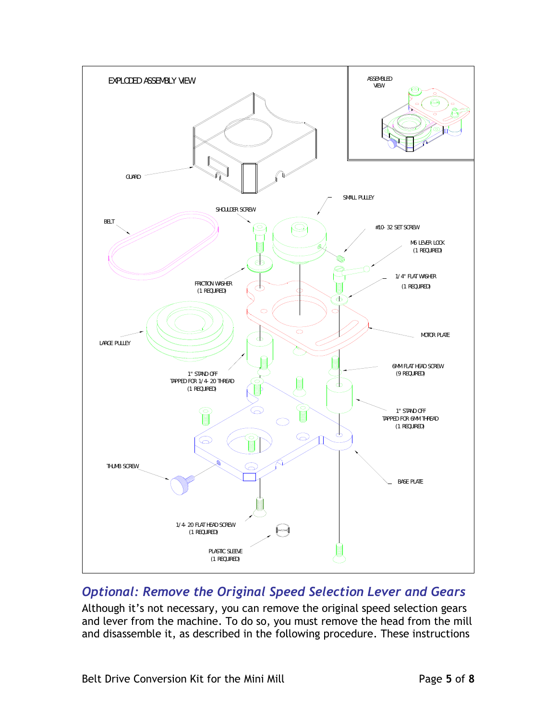

# *Optional: Remove the Original Speed Selection Lever and Gears*

Although it's not necessary, you can remove the original speed selection gears and lever from the machine. To do so, you must remove the head from the mill and disassemble it, as described in the following procedure. These instructions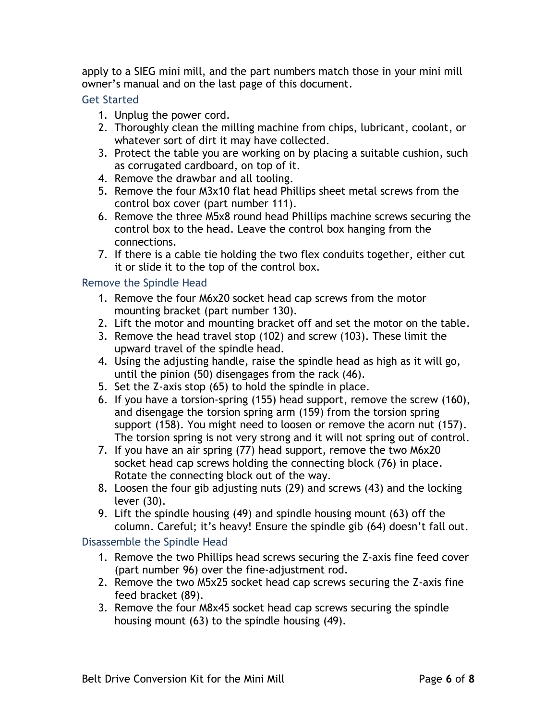apply to a SIEG mini mill, and the part numbers match those in your mini mill owner's manual and on the last page of this document.

### Get Started

- 1. Unplug the power cord.
- 2. Thoroughly clean the milling machine from chips, lubricant, coolant, or whatever sort of dirt it may have collected.
- 3. Protect the table you are working on by placing a suitable cushion, such as corrugated cardboard, on top of it.
- 4. Remove the drawbar and all tooling.
- 5. Remove the four M3x10 flat head Phillips sheet metal screws from the control box cover (part number 111).
- 6. Remove the three M5x8 round head Phillips machine screws securing the control box to the head. Leave the control box hanging from the connections.
- 7. If there is a cable tie holding the two flex conduits together, either cut it or slide it to the top of the control box.

### Remove the Spindle Head

- 1. Remove the four M6x20 socket head cap screws from the motor mounting bracket (part number 130).
- 2. Lift the motor and mounting bracket off and set the motor on the table.
- 3. Remove the head travel stop (102) and screw (103). These limit the upward travel of the spindle head.
- 4. Using the adjusting handle, raise the spindle head as high as it will go, until the pinion (50) disengages from the rack (46).
- 5. Set the Z-axis stop (65) to hold the spindle in place.
- 6. If you have a torsion-spring (155) head support, remove the screw (160), and disengage the torsion spring arm (159) from the torsion spring support (158). You might need to loosen or remove the acorn nut (157). The torsion spring is not very strong and it will not spring out of control.
- 7. If you have an air spring (77) head support, remove the two M6x20 socket head cap screws holding the connecting block (76) in place. Rotate the connecting block out of the way.
- 8. Loosen the four gib adjusting nuts (29) and screws (43) and the locking lever (30).
- 9. Lift the spindle housing (49) and spindle housing mount (63) off the column. Careful; it's heavy! Ensure the spindle gib (64) doesn't fall out.

### Disassemble the Spindle Head

- 1. Remove the two Phillips head screws securing the Z-axis fine feed cover (part number 96) over the fine-adjustment rod.
- 2. Remove the two M5x25 socket head cap screws securing the Z-axis fine feed bracket (89).
- 3. Remove the four M8x45 socket head cap screws securing the spindle housing mount (63) to the spindle housing (49).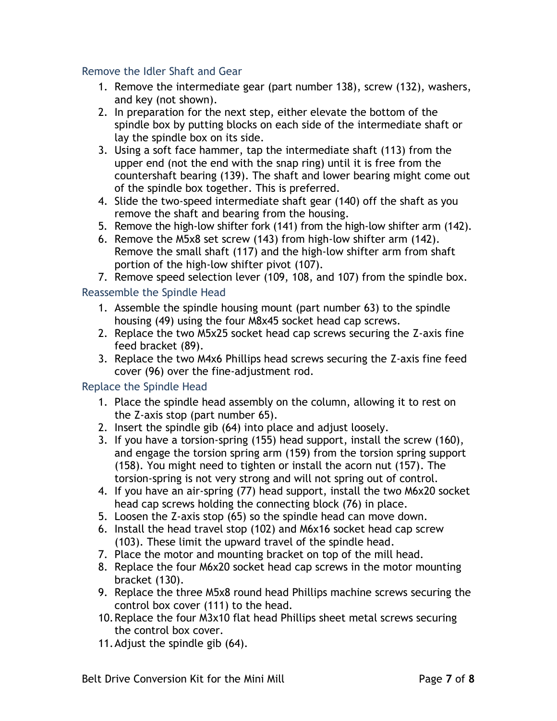#### Remove the Idler Shaft and Gear

- 1. Remove the intermediate gear (part number 138), screw (132), washers, and key (not shown).
- 2. In preparation for the next step, either elevate the bottom of the spindle box by putting blocks on each side of the intermediate shaft or lay the spindle box on its side.
- 3. Using a soft face hammer, tap the intermediate shaft (113) from the upper end (not the end with the snap ring) until it is free from the countershaft bearing (139). The shaft and lower bearing might come out of the spindle box together. This is preferred.
- 4. Slide the two-speed intermediate shaft gear (140) off the shaft as you remove the shaft and bearing from the housing.
- 5. Remove the high-low shifter fork (141) from the high-low shifter arm (142).
- 6. Remove the M5x8 set screw (143) from high-low shifter arm (142). Remove the small shaft (117) and the high-low shifter arm from shaft portion of the high-low shifter pivot (107).
- 7. Remove speed selection lever (109, 108, and 107) from the spindle box.

### Reassemble the Spindle Head

- 1. Assemble the spindle housing mount (part number 63) to the spindle housing (49) using the four M8x45 socket head cap screws.
- 2. Replace the two M5x25 socket head cap screws securing the Z-axis fine feed bracket (89).
- 3. Replace the two M4x6 Phillips head screws securing the Z-axis fine feed cover (96) over the fine-adjustment rod.

### Replace the Spindle Head

- 1. Place the spindle head assembly on the column, allowing it to rest on the Z-axis stop (part number 65).
- 2. Insert the spindle gib (64) into place and adjust loosely.
- 3. If you have a torsion-spring (155) head support, install the screw (160), and engage the torsion spring arm (159) from the torsion spring support (158). You might need to tighten or install the acorn nut (157). The torsion-spring is not very strong and will not spring out of control.
- 4. If you have an air-spring (77) head support, install the two M6x20 socket head cap screws holding the connecting block (76) in place.
- 5. Loosen the Z-axis stop (65) so the spindle head can move down.
- 6. Install the head travel stop (102) and M6x16 socket head cap screw (103). These limit the upward travel of the spindle head.
- 7. Place the motor and mounting bracket on top of the mill head.
- 8. Replace the four M6x20 socket head cap screws in the motor mounting bracket (130).
- 9. Replace the three M5x8 round head Phillips machine screws securing the control box cover (111) to the head.
- 10.Replace the four M3x10 flat head Phillips sheet metal screws securing the control box cover.
- 11.Adjust the spindle gib (64).